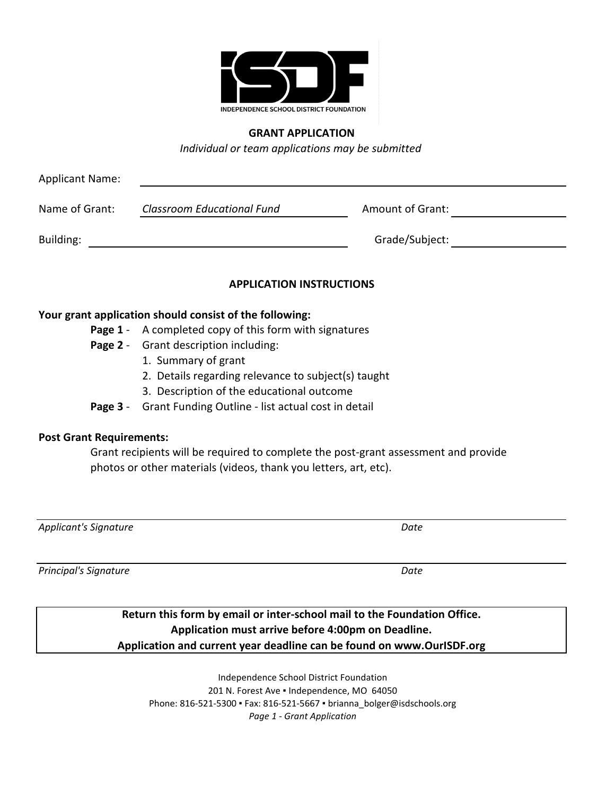

## **GRANT APPLICATION**

*Individual or team applications may be submitted*

| <b>Applicant Name:</b>          |                                                                                     |                  |  |
|---------------------------------|-------------------------------------------------------------------------------------|------------------|--|
| Name of Grant:                  | <b>Classroom Educational Fund</b>                                                   | Amount of Grant: |  |
| Building:                       |                                                                                     | Grade/Subject:   |  |
|                                 | <b>APPLICATION INSTRUCTIONS</b>                                                     |                  |  |
|                                 | Your grant application should consist of the following:                             |                  |  |
|                                 | <b>Page 1</b> - A completed copy of this form with signatures                       |                  |  |
|                                 | <b>Page 2</b> - Grant description including:                                        |                  |  |
|                                 | 1. Summary of grant                                                                 |                  |  |
|                                 | 2. Details regarding relevance to subject(s) taught                                 |                  |  |
|                                 | 3. Description of the educational outcome                                           |                  |  |
|                                 | Page 3 - Grant Funding Outline - list actual cost in detail                         |                  |  |
| <b>Post Grant Requirements:</b> |                                                                                     |                  |  |
|                                 | Grant recipients will be required to complete the post-grant assessment and provide |                  |  |
|                                 | photos or other materials (videos, thank you letters, art, etc).                    |                  |  |
|                                 |                                                                                     |                  |  |

*Applicant's Signature Date*

*Principal's Signature Date*

## **Return this form by email or inter-school mail to the Foundation Office. Application must arrive before 4:00pm on Deadline. Application and current year deadline can be found on www.OurISDF.org**

Independence School District Foundation 201 N. Forest Ave . Independence, MO 64050 Phone: 816-521-5300 ▪ Fax: 816-521-5667 ▪ brianna\_bolger@isdschools.org *Page 1 - Grant Application*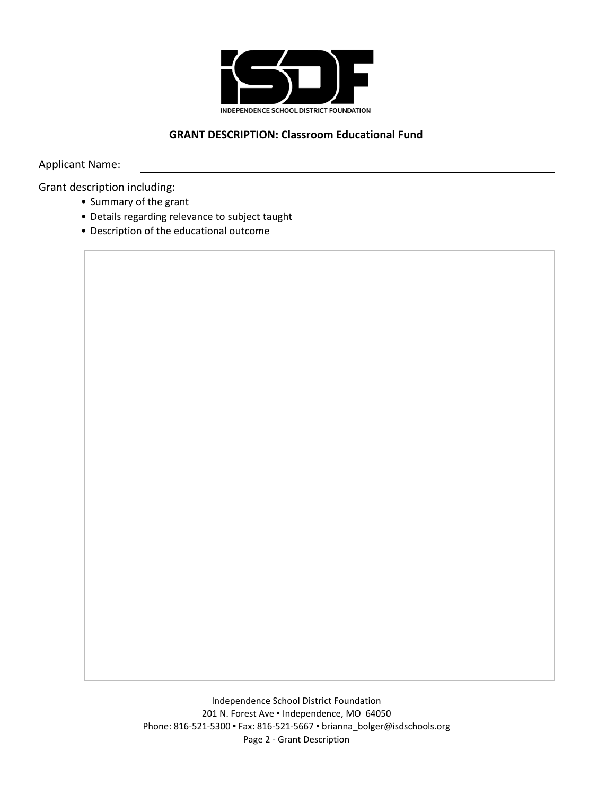

## **GRANT DESCRIPTION: Classroom Educational Fund**

Applicant Name:

Grant description including:

- Summary of the grant
- Details regarding relevance to subject taught
- Description of the educational outcome

Independence School District Foundation 201 N. Forest Ave . Independence, MO 64050 Phone: 816-521-5300 ▪ Fax: 816-521-5667 ▪ brianna\_bolger@isdschools.org Page 2 - Grant Description